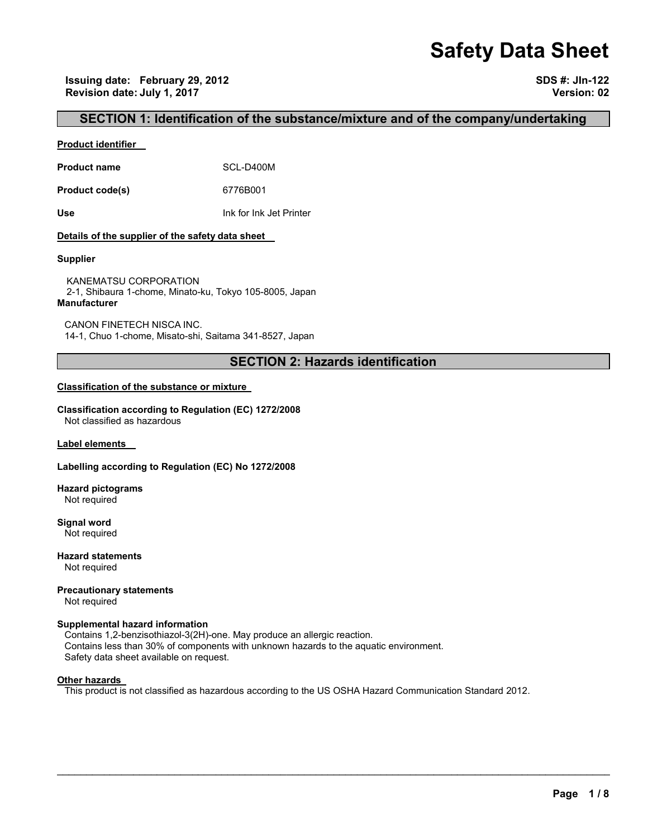# **Safety Data Sheet**

**Issuing date: February 29, 2012 SDS #: JIn-122 Revision date: July 1, 2017 Version: 02** 

# **SECTION 1: Identification of the substance/mixture and of the company/undertaking**

#### **Product identifier**

**Product name** SCL-D400M

**Product code(s)** 6776B001

**Use** Ink for Ink Jet Printer

#### **Details of the supplier of the safety data sheet**

#### **Supplier**

KANEMATSU CORPORATION 2-1, Shibaura 1-chome, Minato-ku, Tokyo 105-8005, Japan **Manufacturer**

CANON FINETECH NISCA INC. 14-1, Chuo 1-chome, Misato-shi, Saitama 341-8527, Japan

# **SECTION 2: Hazards identification**

#### **Classification of the substance or mixture**

**Classification according to Regulation (EC) 1272/2008** Not classified as hazardous

**Label elements** 

#### **Labelling according to Regulation (EC) No 1272/2008**

**Hazard pictograms** Not required

**Signal word** Not required

**Hazard statements** Not required

**Precautionary statements**  Not required

# **Supplemental hazard information**

Contains 1,2-benzisothiazol-3(2H)-one. May produce an allergic reaction. Contains less than 30% of components with unknown hazards to the aquatic environment. Safety data sheet available on request.

#### **Other hazards**

This product is not classified as hazardous according to the US OSHA Hazard Communication Standard 2012.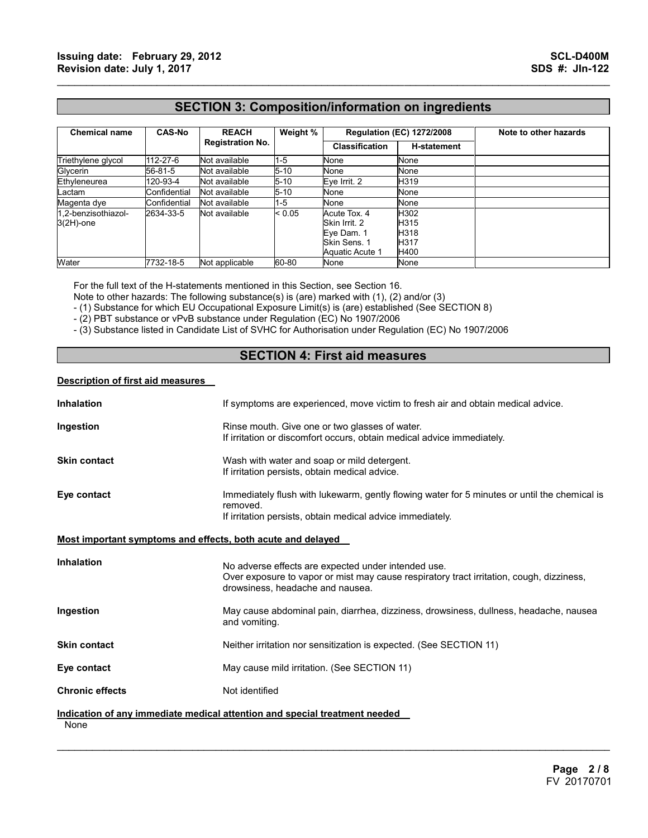# **SECTION 3: Composition/information on ingredients**

 $\mathcal{L}_\mathcal{L} = \{ \mathcal{L}_\mathcal{L} = \{ \mathcal{L}_\mathcal{L} = \{ \mathcal{L}_\mathcal{L} = \{ \mathcal{L}_\mathcal{L} = \{ \mathcal{L}_\mathcal{L} = \{ \mathcal{L}_\mathcal{L} = \{ \mathcal{L}_\mathcal{L} = \{ \mathcal{L}_\mathcal{L} = \{ \mathcal{L}_\mathcal{L} = \{ \mathcal{L}_\mathcal{L} = \{ \mathcal{L}_\mathcal{L} = \{ \mathcal{L}_\mathcal{L} = \{ \mathcal{L}_\mathcal{L} = \{ \mathcal{L}_\mathcal{$ 

| <b>Chemical name</b>                | <b>CAS-No</b> | <b>REACH</b><br><b>Registration No.</b> | Weight % | <b>Regulation (EC) 1272/2008</b>                                               |                                      | Note to other hazards |
|-------------------------------------|---------------|-----------------------------------------|----------|--------------------------------------------------------------------------------|--------------------------------------|-----------------------|
|                                     |               |                                         |          | <b>Classification</b>                                                          | <b>H-statement</b>                   |                       |
| Triethylene glycol                  | 112-27-6      | Not available                           | $1 - 5$  | None                                                                           | None                                 |                       |
| Glycerin                            | 56-81-5       | Not available                           | $5 - 10$ | None                                                                           | None                                 |                       |
| Ethyleneurea                        | 120-93-4      | Not available                           | $5 - 10$ | Eve Irrit. 2                                                                   | H319                                 |                       |
| Lactam                              | Confidential  | Not available                           | $5 - 10$ | None                                                                           | None                                 |                       |
| Magenta dye                         | Confidential  | Not available                           | $1 - 5$  | None                                                                           | None                                 |                       |
| 1,2-benzisothiazol-<br>$3(2H)$ -one | 2634-33-5     | Not available                           | < 0.05   | Acute Tox. 4<br>Skin Irrit, 2<br>Eye Dam. 1<br>Skin Sens. 1<br>Aquatic Acute 1 | H302<br>H315<br>H318<br>H317<br>H400 |                       |
| Water                               | 7732-18-5     | Not applicable                          | 60-80    | None                                                                           | None                                 |                       |

For the full text of the H-statements mentioned in this Section, see Section 16.

Note to other hazards: The following substance(s) is (are) marked with (1), (2) and/or (3)

- (1) Substance for which EU Occupational Exposure Limit(s) is (are) established (See SECTION 8)

- (2) PBT substance or vPvB substance under Regulation (EC) No 1907/2006

- (3) Substance listed in Candidate List of SVHC for Authorisation under Regulation (EC) No 1907/2006

# **SECTION 4: First aid measures**

#### **Description of first aid measures**

| <b>Inhalation</b>                                           | If symptoms are experienced, move victim to fresh air and obtain medical advice.                                                                                                    |
|-------------------------------------------------------------|-------------------------------------------------------------------------------------------------------------------------------------------------------------------------------------|
| Ingestion                                                   | Rinse mouth. Give one or two glasses of water.<br>If irritation or discomfort occurs, obtain medical advice immediately.                                                            |
| <b>Skin contact</b>                                         | Wash with water and soap or mild detergent.<br>If irritation persists, obtain medical advice.                                                                                       |
| Eye contact                                                 | Immediately flush with lukewarm, gently flowing water for 5 minutes or until the chemical is<br>removed.<br>If irritation persists, obtain medical advice immediately.              |
| Most important symptoms and effects, both acute and delayed |                                                                                                                                                                                     |
| <b>Inhalation</b>                                           | No adverse effects are expected under intended use.<br>Over exposure to vapor or mist may cause respiratory tract irritation, cough, dizziness,<br>drowsiness, headache and nausea. |
| Ingestion                                                   | May cause abdominal pain, diarrhea, dizziness, drowsiness, dullness, headache, nausea<br>and vomiting.                                                                              |
| <b>Skin contact</b>                                         | Neither irritation nor sensitization is expected. (See SECTION 11)                                                                                                                  |
| Eye contact                                                 | May cause mild irritation. (See SECTION 11)                                                                                                                                         |
| <b>Chronic effects</b>                                      | Not identified                                                                                                                                                                      |
|                                                             | Indication of any immediate medical attention and special treatment needed                                                                                                          |
| None                                                        |                                                                                                                                                                                     |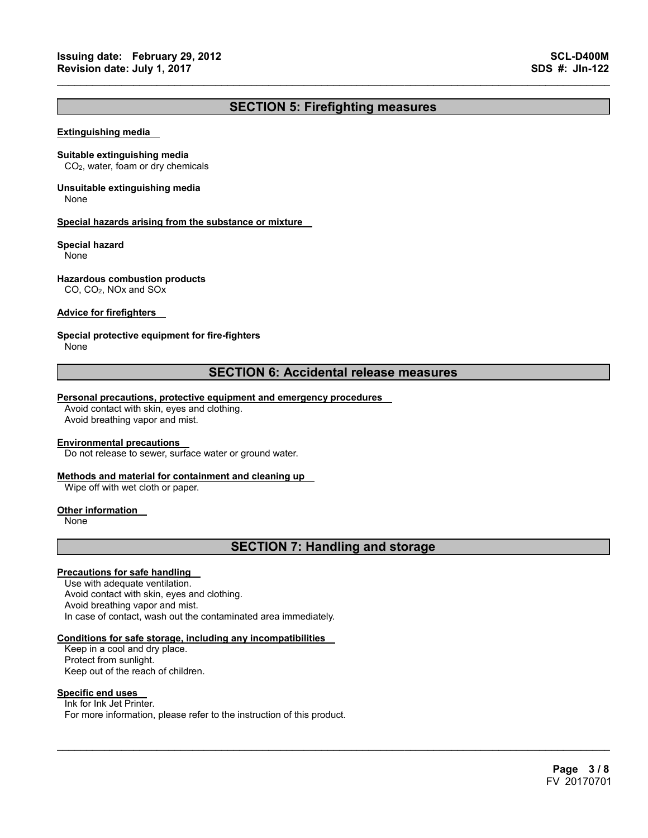# **SECTION 5: Firefighting measures**

 $\mathcal{L}_\mathcal{L} = \{ \mathcal{L}_\mathcal{L} = \{ \mathcal{L}_\mathcal{L} = \{ \mathcal{L}_\mathcal{L} = \{ \mathcal{L}_\mathcal{L} = \{ \mathcal{L}_\mathcal{L} = \{ \mathcal{L}_\mathcal{L} = \{ \mathcal{L}_\mathcal{L} = \{ \mathcal{L}_\mathcal{L} = \{ \mathcal{L}_\mathcal{L} = \{ \mathcal{L}_\mathcal{L} = \{ \mathcal{L}_\mathcal{L} = \{ \mathcal{L}_\mathcal{L} = \{ \mathcal{L}_\mathcal{L} = \{ \mathcal{L}_\mathcal{$ 

#### **Extinguishing media**

#### **Suitable extinguishing media**

CO2, water, foam or dry chemicals

# **Unsuitable extinguishing media**

None

#### **Special hazards arising from the substance or mixture**

#### **Special hazard**

None

#### **Hazardous combustion products**

CO, CO2, NOx and SOx

#### **Advice for firefighters**

#### **Special protective equipment for fire-fighters**

None

# **SECTION 6: Accidental release measures**

#### **Personal precautions, protective equipment and emergency procedures**

Avoid contact with skin, eyes and clothing. Avoid breathing vapor and mist.

#### **Environmental precautions**

Do not release to sewer, surface water or ground water.

#### **Methods and material for containment and cleaning up**

Wipe off with wet cloth or paper.

#### **Other information**

None

# **SECTION 7: Handling and storage**

 $\mathcal{L}_\mathcal{L} = \mathcal{L}_\mathcal{L} = \mathcal{L}_\mathcal{L} = \mathcal{L}_\mathcal{L} = \mathcal{L}_\mathcal{L} = \mathcal{L}_\mathcal{L} = \mathcal{L}_\mathcal{L} = \mathcal{L}_\mathcal{L} = \mathcal{L}_\mathcal{L} = \mathcal{L}_\mathcal{L} = \mathcal{L}_\mathcal{L} = \mathcal{L}_\mathcal{L} = \mathcal{L}_\mathcal{L} = \mathcal{L}_\mathcal{L} = \mathcal{L}_\mathcal{L} = \mathcal{L}_\mathcal{L} = \mathcal{L}_\mathcal{L}$ 

#### **Precautions for safe handling**

Use with adequate ventilation. Avoid contact with skin, eyes and clothing. Avoid breathing vapor and mist. In case of contact, wash out the contaminated area immediately.

#### **Conditions for safe storage, including any incompatibilities**

Keep in a cool and dry place. Protect from sunlight. Keep out of the reach of children.

#### **Specific end uses**

Ink for Ink Jet Printer. For more information, please refer to the instruction of this product.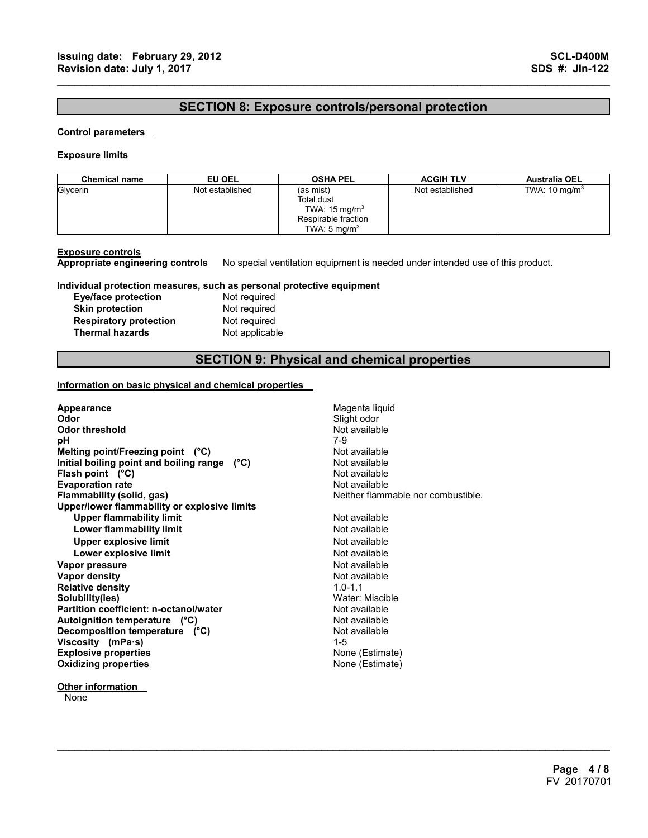# **SECTION 8: Exposure controls/personal protection**

 $\mathcal{L}_\mathcal{L} = \{ \mathcal{L}_\mathcal{L} = \{ \mathcal{L}_\mathcal{L} = \{ \mathcal{L}_\mathcal{L} = \{ \mathcal{L}_\mathcal{L} = \{ \mathcal{L}_\mathcal{L} = \{ \mathcal{L}_\mathcal{L} = \{ \mathcal{L}_\mathcal{L} = \{ \mathcal{L}_\mathcal{L} = \{ \mathcal{L}_\mathcal{L} = \{ \mathcal{L}_\mathcal{L} = \{ \mathcal{L}_\mathcal{L} = \{ \mathcal{L}_\mathcal{L} = \{ \mathcal{L}_\mathcal{L} = \{ \mathcal{L}_\mathcal{$ 

#### **Control parameters**

#### **Exposure limits**

| <b>Chemical name</b> | EU OEL          | <b>OSHA PEL</b>                                     | <b>ACGIH TLV</b> | <b>Australia OEL</b>     |
|----------------------|-----------------|-----------------------------------------------------|------------------|--------------------------|
| Glycerin             | Not established | (as mist)<br>Total dust<br>TWA: $15 \text{ mg/m}^3$ | Not established  | TWA: $10 \text{ mg/m}^3$ |
|                      |                 | Respirable fraction<br>TWA: $5 \text{ ma/m}^3$      |                  |                          |

**Exposure controls Appropriate engineering controls** No special ventilation equipment is needed under intended use of this product.

#### **Individual protection measures, such as personal protective equipment**

| Eye/face protection           |
|-------------------------------|
| <b>Skin protection</b>        |
| <b>Respiratory protection</b> |
| <b>Thermal hazards</b>        |

Not required **Not required Not required Not applicable** 

# **SECTION 9: Physical and chemical properties**

 $\mathcal{L}_\mathcal{L} = \mathcal{L}_\mathcal{L} = \mathcal{L}_\mathcal{L} = \mathcal{L}_\mathcal{L} = \mathcal{L}_\mathcal{L} = \mathcal{L}_\mathcal{L} = \mathcal{L}_\mathcal{L} = \mathcal{L}_\mathcal{L} = \mathcal{L}_\mathcal{L} = \mathcal{L}_\mathcal{L} = \mathcal{L}_\mathcal{L} = \mathcal{L}_\mathcal{L} = \mathcal{L}_\mathcal{L} = \mathcal{L}_\mathcal{L} = \mathcal{L}_\mathcal{L} = \mathcal{L}_\mathcal{L} = \mathcal{L}_\mathcal{L}$ 

#### **Information on basic physical and chemical properties**

| Appearance                                   | Magenta liquid                     |
|----------------------------------------------|------------------------------------|
| Odor                                         | Slight odor                        |
| Odor threshold                               | Not available                      |
| рH                                           | 7-9                                |
| Melting point/Freezing point $(^{\circ}C)$   | Not available                      |
| Initial boiling point and boiling range (°C) | Not available                      |
| Flash point $(^{\circ}C)$                    | Not available                      |
| <b>Evaporation rate</b>                      | Not available                      |
| Flammability (solid, gas)                    | Neither flammable nor combustible. |
| Upper/lower flammability or explosive limits |                                    |
| <b>Upper flammability limit</b>              | Not available                      |
| <b>Lower flammability limit</b>              | Not available                      |
| Upper explosive limit                        | Not available                      |
| Lower explosive limit                        | Not available                      |
| Vapor pressure                               | Not available                      |
| Vapor density                                | Not available                      |
| <b>Relative density</b>                      | $1.0 - 1.1$                        |
| Solubility(ies)                              | Water: Miscible                    |
| Partition coefficient: n-octanol/water       | Not available                      |
| Autoignition temperature (°C)                | Not available                      |
| Decomposition temperature (°C)               | Not available                      |
| Viscosity (mPa-s)                            | $1 - 5$                            |
| <b>Explosive properties</b>                  | None (Estimate)                    |
| <b>Oxidizing properties</b>                  | None (Estimate)                    |
|                                              |                                    |

**Other information** 

**None**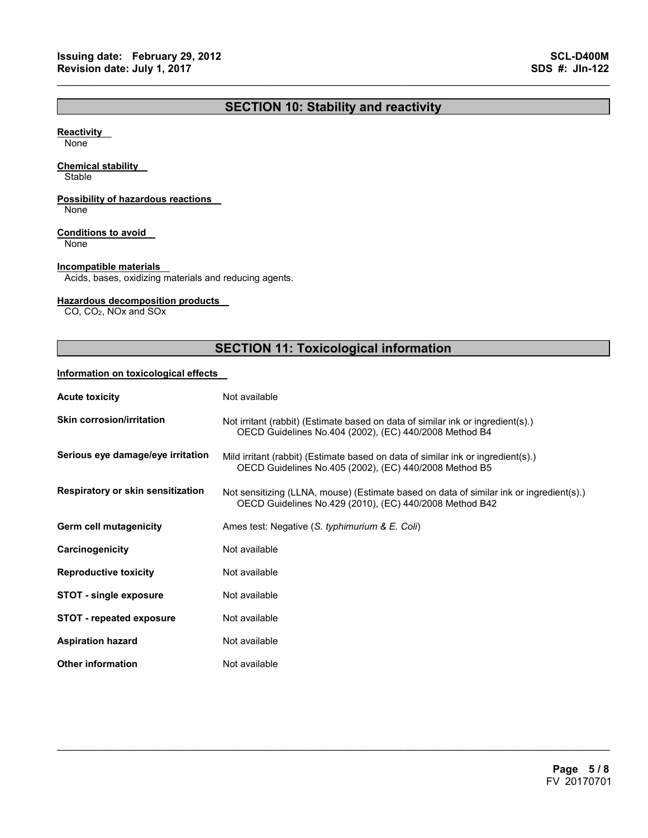# **SECTION 10: Stability and reactivity**

 $\mathcal{L}_\mathcal{L} = \{ \mathcal{L}_\mathcal{L} = \{ \mathcal{L}_\mathcal{L} = \{ \mathcal{L}_\mathcal{L} = \{ \mathcal{L}_\mathcal{L} = \{ \mathcal{L}_\mathcal{L} = \{ \mathcal{L}_\mathcal{L} = \{ \mathcal{L}_\mathcal{L} = \{ \mathcal{L}_\mathcal{L} = \{ \mathcal{L}_\mathcal{L} = \{ \mathcal{L}_\mathcal{L} = \{ \mathcal{L}_\mathcal{L} = \{ \mathcal{L}_\mathcal{L} = \{ \mathcal{L}_\mathcal{L} = \{ \mathcal{L}_\mathcal{$ 

#### **Reactivity**

None

#### **Chemical stability**

**Stable** 

### **Possibility of hazardous reactions**

None

#### **Conditions to avoid**

None

#### **Incompatible materials**

Acids, bases, oxidizing materials and reducing agents.

#### **Hazardous decomposition products**

CO, CO2, NOx and SOx

# **SECTION 11: Toxicological information**

#### **Information on toxicological effects**

| <b>Acute toxicity</b>             | Not available                                                                                                                                      |
|-----------------------------------|----------------------------------------------------------------------------------------------------------------------------------------------------|
| <b>Skin corrosion/irritation</b>  | Not irritant (rabbit) (Estimate based on data of similar ink or ingredient(s).)<br>OECD Guidelines No.404 (2002), (EC) 440/2008 Method B4          |
| Serious eye damage/eye irritation | Mild irritant (rabbit) (Estimate based on data of similar ink or ingredient(s).)<br>OECD Guidelines No.405 (2002), (EC) 440/2008 Method B5         |
| Respiratory or skin sensitization | Not sensitizing (LLNA, mouse) (Estimate based on data of similar ink or ingredient(s).)<br>OECD Guidelines No.429 (2010), (EC) 440/2008 Method B42 |
| Germ cell mutagenicity            | Ames test: Negative (S. typhimurium & E. Coli)                                                                                                     |
| Carcinogenicity                   | Not available                                                                                                                                      |
| <b>Reproductive toxicity</b>      | Not available                                                                                                                                      |
| <b>STOT - single exposure</b>     | Not available                                                                                                                                      |
| <b>STOT - repeated exposure</b>   | Not available                                                                                                                                      |
| <b>Aspiration hazard</b>          | Not available                                                                                                                                      |
| <b>Other information</b>          | Not available                                                                                                                                      |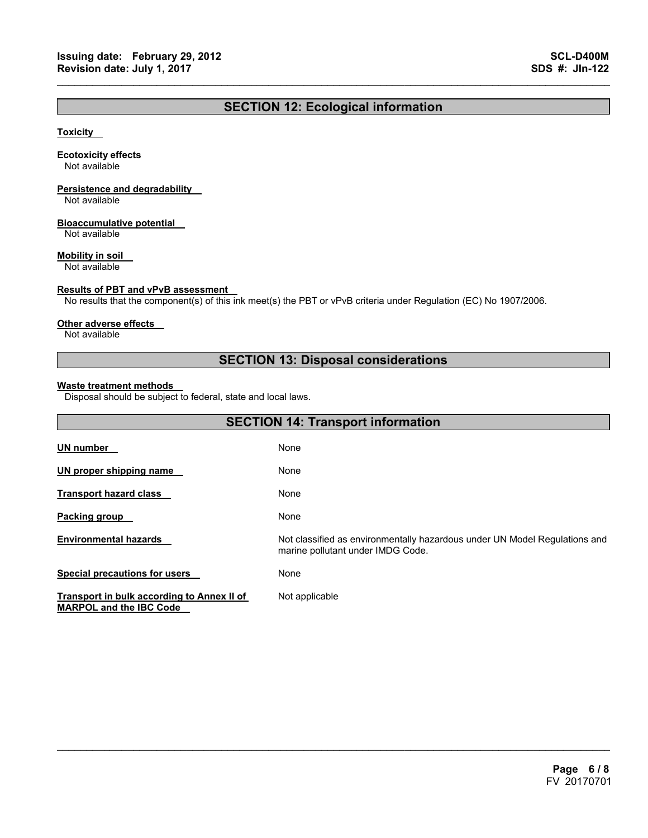# **SECTION 12: Ecological information**

 $\mathcal{L}_\mathcal{L} = \{ \mathcal{L}_\mathcal{L} = \{ \mathcal{L}_\mathcal{L} = \{ \mathcal{L}_\mathcal{L} = \{ \mathcal{L}_\mathcal{L} = \{ \mathcal{L}_\mathcal{L} = \{ \mathcal{L}_\mathcal{L} = \{ \mathcal{L}_\mathcal{L} = \{ \mathcal{L}_\mathcal{L} = \{ \mathcal{L}_\mathcal{L} = \{ \mathcal{L}_\mathcal{L} = \{ \mathcal{L}_\mathcal{L} = \{ \mathcal{L}_\mathcal{L} = \{ \mathcal{L}_\mathcal{L} = \{ \mathcal{L}_\mathcal{$ 

#### **Toxicity**

#### **Ecotoxicity effects**

Not available

# **Persistence and degradability**

Not available

#### **Bioaccumulative potential**

Not available

#### **Mobility in soil**

Not available

#### **Results of PBT and vPvB assessment**

No results that the component(s) of this ink meet(s) the PBT or vPvB criteria under Regulation (EC) No 1907/2006.

#### **Other adverse effects**

Not available

# **SECTION 13: Disposal considerations**

#### **Waste treatment methods**

Disposal should be subject to federal, state and local laws.

| <b>SECTION 14: Transport information</b>                                     |                                                                                                                 |  |
|------------------------------------------------------------------------------|-----------------------------------------------------------------------------------------------------------------|--|
| <u>UN number</u>                                                             | None                                                                                                            |  |
| UN proper shipping name                                                      | None                                                                                                            |  |
| Transport hazard class                                                       | None                                                                                                            |  |
| Packing group                                                                | None                                                                                                            |  |
| <b>Environmental hazards</b>                                                 | Not classified as environmentally hazardous under UN Model Regulations and<br>marine pollutant under IMDG Code. |  |
| <b>Special precautions for users</b>                                         | None                                                                                                            |  |
| Transport in bulk according to Annex II of<br><b>MARPOL and the IBC Code</b> | Not applicable                                                                                                  |  |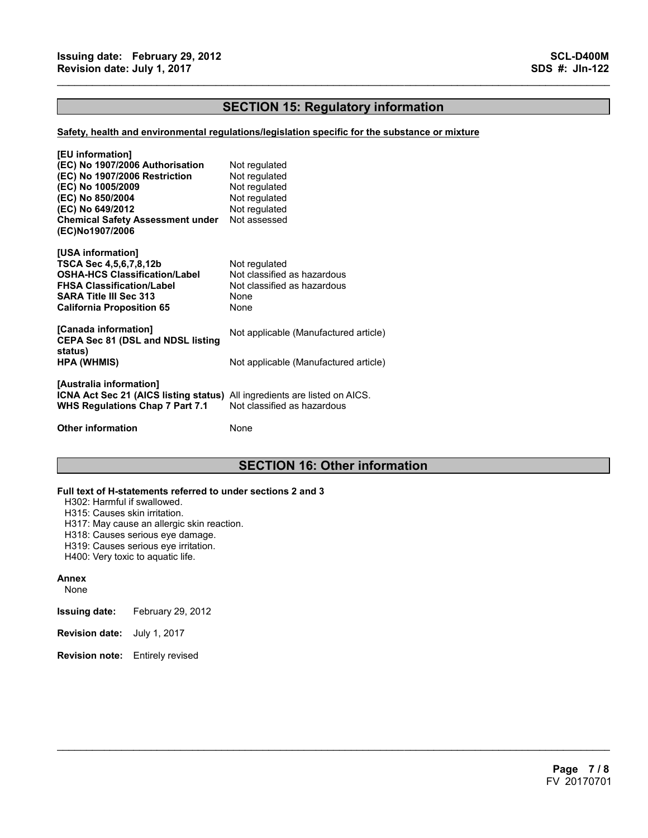# **SECTION 15: Regulatory information**

 $\mathcal{L}_\mathcal{L} = \{ \mathcal{L}_\mathcal{L} = \{ \mathcal{L}_\mathcal{L} = \{ \mathcal{L}_\mathcal{L} = \{ \mathcal{L}_\mathcal{L} = \{ \mathcal{L}_\mathcal{L} = \{ \mathcal{L}_\mathcal{L} = \{ \mathcal{L}_\mathcal{L} = \{ \mathcal{L}_\mathcal{L} = \{ \mathcal{L}_\mathcal{L} = \{ \mathcal{L}_\mathcal{L} = \{ \mathcal{L}_\mathcal{L} = \{ \mathcal{L}_\mathcal{L} = \{ \mathcal{L}_\mathcal{L} = \{ \mathcal{L}_\mathcal{$ 

#### **Safety, health and environmental regulations/legislation specific for the substance or mixture**

| [EU information]<br>(EC) No 1907/2006 Authorisation<br>(EC) No 1907/2006 Restriction<br>(EC) No 1005/2009<br>(EC) No 850/2004<br>(EC) No 649/2012<br><b>Chemical Safety Assessment under</b><br>(EC)No1907/2006 | Not regulated<br>Not regulated<br>Not regulated<br>Not regulated<br>Not regulated<br>Not assessed |
|-----------------------------------------------------------------------------------------------------------------------------------------------------------------------------------------------------------------|---------------------------------------------------------------------------------------------------|
| [USA information]<br>TSCA Sec 4,5,6,7,8,12b<br><b>OSHA-HCS Classification/Label</b><br><b>FHSA Classification/Label</b><br><b>SARA Title III Sec 313</b><br><b>California Proposition 65</b>                    | Not regulated<br>Not classified as hazardous<br>Not classified as hazardous<br>None<br>None       |
| [Canada information]<br><b>CEPA Sec 81 (DSL and NDSL listing</b><br>status)                                                                                                                                     | Not applicable (Manufactured article)                                                             |
| <b>HPA (WHMIS)</b>                                                                                                                                                                                              | Not applicable (Manufactured article)                                                             |
| [Australia information]<br>ICNA Act Sec 21 (AICS listing status) All ingredients are listed on AICS.<br>WHS Regulations Chap 7 Part 7.1                                                                         | Not classified as hazardous                                                                       |
| <b>Other information</b>                                                                                                                                                                                        | None                                                                                              |

# **SECTION 16: Other information**

 $\mathcal{L}_\mathcal{L} = \mathcal{L}_\mathcal{L} = \mathcal{L}_\mathcal{L} = \mathcal{L}_\mathcal{L} = \mathcal{L}_\mathcal{L} = \mathcal{L}_\mathcal{L} = \mathcal{L}_\mathcal{L} = \mathcal{L}_\mathcal{L} = \mathcal{L}_\mathcal{L} = \mathcal{L}_\mathcal{L} = \mathcal{L}_\mathcal{L} = \mathcal{L}_\mathcal{L} = \mathcal{L}_\mathcal{L} = \mathcal{L}_\mathcal{L} = \mathcal{L}_\mathcal{L} = \mathcal{L}_\mathcal{L} = \mathcal{L}_\mathcal{L}$ 

#### **Full text of H-statements referred to under sections 2 and 3**

H302: Harmful if swallowed.

- H315: Causes skin irritation.
- H317: May cause an allergic skin reaction.
- H318: Causes serious eye damage.
- H319: Causes serious eye irritation.
- H400: Very toxic to aquatic life.

#### **Annex**

- None
- **Issuing date:** February 29, 2012
- **Revision date:** July 1, 2017
- **Revision note:** Entirely revised